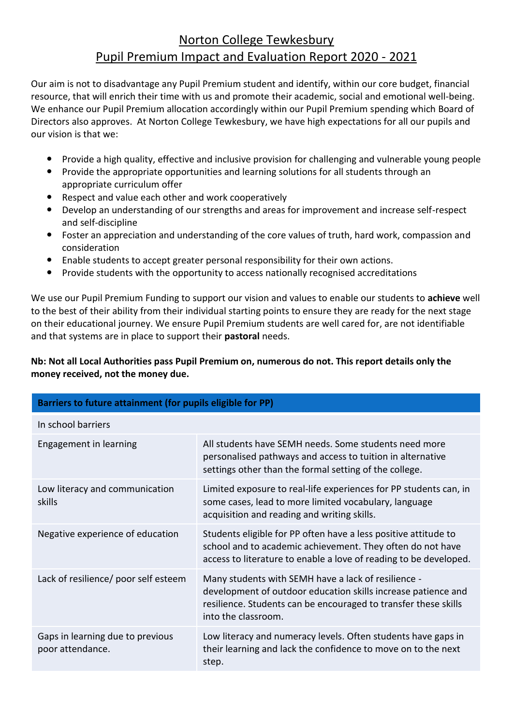## Norton College Tewkesbury Pupil Premium Impact and Evaluation Report 2020 - 2021

Our aim is not to disadvantage any Pupil Premium student and identify, within our core budget, financial resource, that will enrich their time with us and promote their academic, social and emotional well-being. We enhance our Pupil Premium allocation accordingly within our Pupil Premium spending which Board of Directors also approves. At Norton College Tewkesbury, we have high expectations for all our pupils and our vision is that we:

- Provide a high quality, effective and inclusive provision for challenging and vulnerable young people
- Provide the appropriate opportunities and learning solutions for all students through an appropriate curriculum offer
- Respect and value each other and work cooperatively
- Develop an understanding of our strengths and areas for improvement and increase self-respect and self-discipline
- Foster an appreciation and understanding of the core values of truth, hard work, compassion and consideration
- Enable students to accept greater personal responsibility for their own actions.
- Provide students with the opportunity to access nationally recognised accreditations

We use our Pupil Premium Funding to support our vision and values to enable our students to **achieve** well to the best of their ability from their individual starting points to ensure they are ready for the next stage on their educational journey. We ensure Pupil Premium students are well cared for, are not identifiable and that systems are in place to support their **pastoral** needs.

## **Nb: Not all Local Authorities pass Pupil Premium on, numerous do not. This report details only the money received, not the money due.**

| Barriers to future attainment (for pupils eligible for PP) |                                                                                                                                                                                                                |  |  |  |
|------------------------------------------------------------|----------------------------------------------------------------------------------------------------------------------------------------------------------------------------------------------------------------|--|--|--|
| In school barriers                                         |                                                                                                                                                                                                                |  |  |  |
| Engagement in learning                                     | All students have SEMH needs. Some students need more<br>personalised pathways and access to tuition in alternative<br>settings other than the formal setting of the college.                                  |  |  |  |
| Low literacy and communication<br>skills                   | Limited exposure to real-life experiences for PP students can, in<br>some cases, lead to more limited vocabulary, language<br>acquisition and reading and writing skills.                                      |  |  |  |
| Negative experience of education                           | Students eligible for PP often have a less positive attitude to<br>school and to academic achievement. They often do not have<br>access to literature to enable a love of reading to be developed.             |  |  |  |
| Lack of resilience/ poor self esteem                       | Many students with SEMH have a lack of resilience -<br>development of outdoor education skills increase patience and<br>resilience. Students can be encouraged to transfer these skills<br>into the classroom. |  |  |  |
| Gaps in learning due to previous<br>poor attendance.       | Low literacy and numeracy levels. Often students have gaps in<br>their learning and lack the confidence to move on to the next<br>step.                                                                        |  |  |  |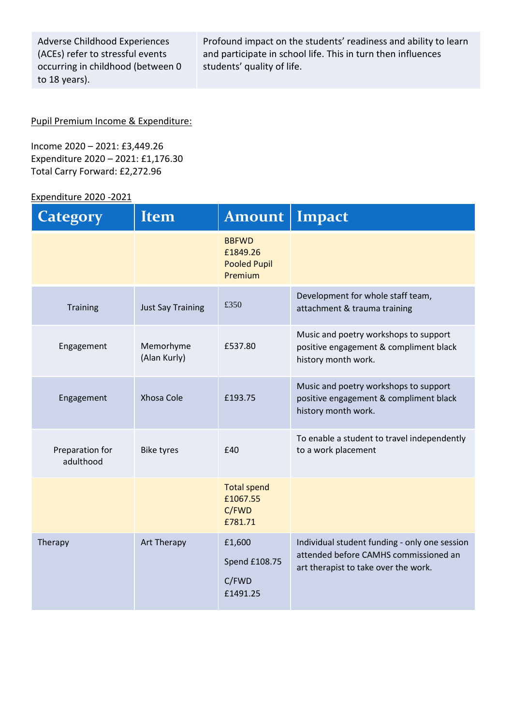| <b>Adverse Childhood Experiences</b> |
|--------------------------------------|
| (ACEs) refer to stressful events     |
| occurring in childhood (between 0    |
| to 18 years).                        |

Profound impact on the students' readiness and ability to learn and participate in school life. This in turn then influences students' quality of life.

#### Pupil Premium Income & Expenditure:

Income 2020 – 2021: £3,449.26 Expenditure 2020 – 2021: £1,176.30 Total Carry Forward: £2,272.96

## Expenditure 2020 -2021

| <b>Category</b>              | Item                      | Amount                                                     | Impact                                                                                                                         |
|------------------------------|---------------------------|------------------------------------------------------------|--------------------------------------------------------------------------------------------------------------------------------|
|                              |                           | <b>BBFWD</b><br>£1849.26<br><b>Pooled Pupil</b><br>Premium |                                                                                                                                |
| <b>Training</b>              | <b>Just Say Training</b>  | £350                                                       | Development for whole staff team,<br>attachment & trauma training                                                              |
| Engagement                   | Memorhyme<br>(Alan Kurly) | £537.80                                                    | Music and poetry workshops to support<br>positive engagement & compliment black<br>history month work.                         |
| Engagement                   | Xhosa Cole                | £193.75                                                    | Music and poetry workshops to support<br>positive engagement & compliment black<br>history month work.                         |
| Preparation for<br>adulthood | <b>Bike tyres</b>         | £40                                                        | To enable a student to travel independently<br>to a work placement                                                             |
|                              |                           | <b>Total spend</b><br>£1067.55<br>C/FWD<br>£781.71         |                                                                                                                                |
| Therapy                      | Art Therapy               | £1,600<br>Spend £108.75<br>C/FWD<br>£1491.25               | Individual student funding - only one session<br>attended before CAMHS commissioned an<br>art therapist to take over the work. |